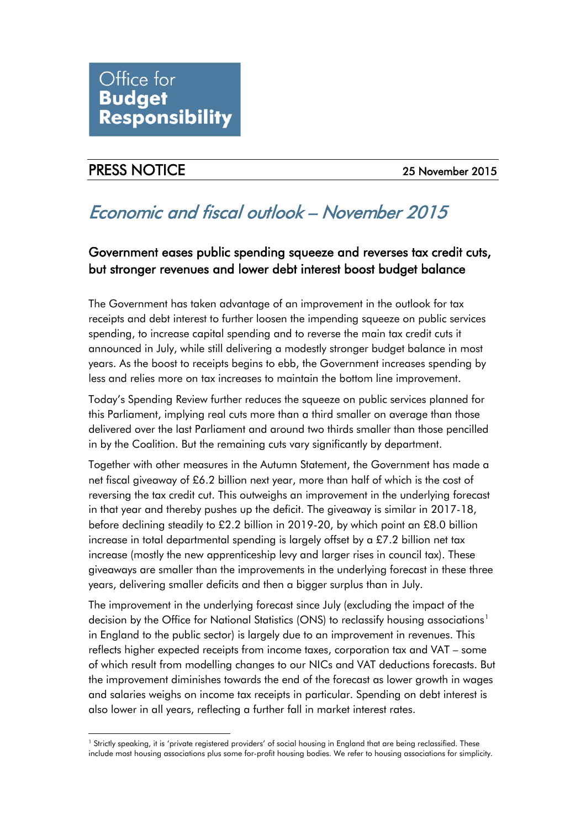## PRESS NOTICE 25 November 2015

# Economic and fiscal outlook – November 2015

## Government eases public spending squeeze and reverses tax credit cuts, but stronger revenues and lower debt interest boost budget balance

The Government has taken advantage of an improvement in the outlook for tax receipts and debt interest to further loosen the impending squeeze on public services spending, to increase capital spending and to reverse the main tax credit cuts it announced in July, while still delivering a modestly stronger budget balance in most years. As the boost to receipts begins to ebb, the Government increases spending by less and relies more on tax increases to maintain the bottom line improvement.

Today's Spending Review further reduces the squeeze on public services planned for this Parliament, implying real cuts more than a third smaller on average than those delivered over the last Parliament and around two thirds smaller than those pencilled in by the Coalition. But the remaining cuts vary significantly by department.

Together with other measures in the Autumn Statement, the Government has made a net fiscal giveaway of £6.2 billion next year, more than half of which is the cost of reversing the tax credit cut. This outweighs an improvement in the underlying forecast in that year and thereby pushes up the deficit. The giveaway is similar in 2017-18, before declining steadily to £2.2 billion in 2019-20, by which point an £8.0 billion increase in total departmental spending is largely offset by a £7.2 billion net tax increase (mostly the new apprenticeship levy and larger rises in council tax). These giveaways are smaller than the improvements in the underlying forecast in these three years, delivering smaller deficits and then a bigger surplus than in July.

The improvement in the underlying forecast since July (excluding the impact of the decision by the Office for National Statistics (ONS) to reclassify housing associations<sup>[1](#page-0-0)</sup> in England to the public sector) is largely due to an improvement in revenues. This reflects higher expected receipts from income taxes, corporation tax and VAT – some of which result from modelling changes to our NICs and VAT deductions forecasts. But the improvement diminishes towards the end of the forecast as lower growth in wages and salaries weighs on income tax receipts in particular. Spending on debt interest is also lower in all years, reflecting a further fall in market interest rates.

<span id="page-0-0"></span><sup>&</sup>lt;sup>1</sup> Strictly speaking, it is 'private registered providers' of social housing in England that are being reclassified. These include most housing associations plus some for-profit housing bodies. We refer to housing associations for simplicity. -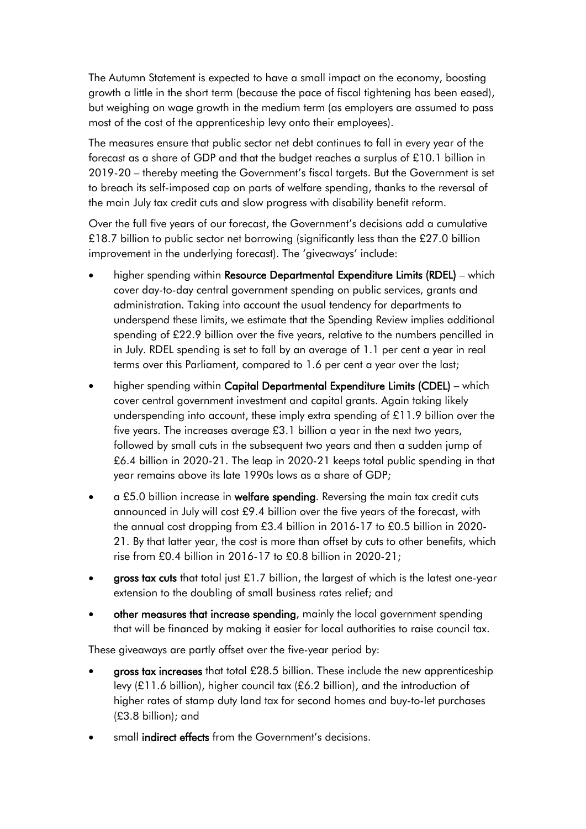The Autumn Statement is expected to have a small impact on the economy, boosting growth a little in the short term (because the pace of fiscal tightening has been eased), but weighing on wage growth in the medium term (as employers are assumed to pass most of the cost of the apprenticeship levy onto their employees).

The measures ensure that public sector net debt continues to fall in every year of the forecast as a share of GDP and that the budget reaches a surplus of £10.1 billion in 2019-20 – thereby meeting the Government's fiscal targets. But the Government is set to breach its self-imposed cap on parts of welfare spending, thanks to the reversal of the main July tax credit cuts and slow progress with disability benefit reform.

Over the full five years of our forecast, the Government's decisions add a cumulative £18.7 billion to public sector net borrowing (significantly less than the £27.0 billion improvement in the underlying forecast). The 'giveaways' include:

- higher spending within Resource Departmental Expenditure Limits (RDEL) which cover day-to-day central government spending on public services, grants and administration. Taking into account the usual tendency for departments to underspend these limits, we estimate that the Spending Review implies additional spending of £22.9 billion over the five years, relative to the numbers pencilled in in July. RDEL spending is set to fall by an average of 1.1 per cent a year in real terms over this Parliament, compared to 1.6 per cent a year over the last;
- higher spending within Capital Departmental Expenditure Limits (CDEL) which cover central government investment and capital grants. Again taking likely underspending into account, these imply extra spending of £11.9 billion over the five years. The increases average £3.1 billion a year in the next two years, followed by small cuts in the subsequent two years and then a sudden jump of £6.4 billion in 2020-21. The leap in 2020-21 keeps total public spending in that year remains above its late 1990s lows as a share of GDP;
- a £5.0 billion increase in welfare spending. Reversing the main tax credit cuts announced in July will cost £9.4 billion over the five years of the forecast, with the annual cost dropping from £3.4 billion in 2016-17 to £0.5 billion in 2020- 21. By that latter year, the cost is more than offset by cuts to other benefits, which rise from £0.4 billion in 2016-17 to £0.8 billion in 2020-21;
- gross tax cuts that total just £1.7 billion, the largest of which is the latest one-year extension to the doubling of small business rates relief; and
- other measures that increase spending, mainly the local government spending that will be financed by making it easier for local authorities to raise council tax.

These giveaways are partly offset over the five-year period by:

- gross tax increases that total £28.5 billion. These include the new apprenticeship levy (£11.6 billion), higher council tax (£6.2 billion), and the introduction of higher rates of stamp duty land tax for second homes and buy-to-let purchases (£3.8 billion); and
- small indirect effects from the Government's decisions.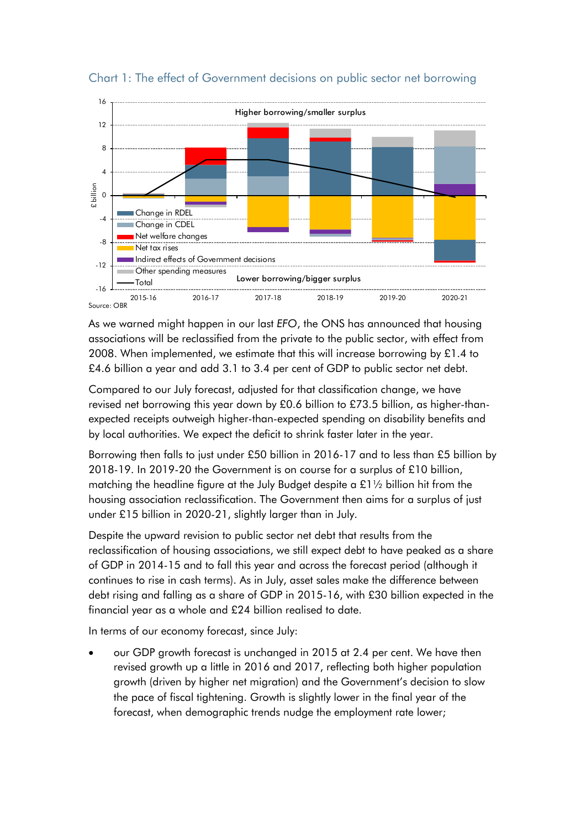

### Chart 1: The effect of Government decisions on public sector net borrowing

As we warned might happen in our last *EFO*, the ONS has announced that housing associations will be reclassified from the private to the public sector, with effect from 2008. When implemented, we estimate that this will increase borrowing by  $£1.4$  to £4.6 billion a year and add 3.1 to 3.4 per cent of GDP to public sector net debt.

Compared to our July forecast, adjusted for that classification change, we have revised net borrowing this year down by £0.6 billion to £73.5 billion, as higher-thanexpected receipts outweigh higher-than-expected spending on disability benefits and by local authorities. We expect the deficit to shrink faster later in the year.

Borrowing then falls to just under £50 billion in 2016-17 and to less than £5 billion by 2018-19. In 2019-20 the Government is on course for a surplus of £10 billion, matching the headline figure at the July Budget despite a £1½ billion hit from the housing association reclassification. The Government then aims for a surplus of just under £15 billion in 2020-21, slightly larger than in July.

Despite the upward revision to public sector net debt that results from the reclassification of housing associations, we still expect debt to have peaked as a share of GDP in 2014-15 and to fall this year and across the forecast period (although it continues to rise in cash terms). As in July, asset sales make the difference between debt rising and falling as a share of GDP in 2015-16, with £30 billion expected in the financial year as a whole and £24 billion realised to date.

In terms of our economy forecast, since July:

• our GDP growth forecast is unchanged in 2015 at 2.4 per cent. We have then revised growth up a little in 2016 and 2017, reflecting both higher population growth (driven by higher net migration) and the Government's decision to slow the pace of fiscal tightening. Growth is slightly lower in the final year of the forecast, when demographic trends nudge the employment rate lower;